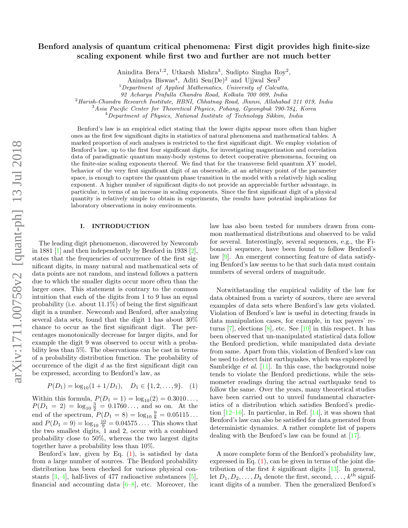# Benford analysis of quantum critical phenomena: First digit provides high finite-size scaling exponent while first two and further are not much better

Anindita Bera<sup>1,2</sup>, Utkarsh Mishra<sup>3</sup>, Sudipto Singha Roy<sup>2</sup>,

Anindya Biswas<sup>4</sup>, Aditi Sen(De)<sup>2</sup> and Ujjwal Sen<sup>2</sup>

 $1$ Department of Applied Mathematics, University of Calcutta,

92 Acharya Prafulla Chandra Road, Kolkata 700 009, India

<sup>2</sup>Harish-Chandra Research Institute, HBNI, Chhatnag Road, Jhunsi, Allahabad 211 019, India

<sup>3</sup> Asia Pacific Center for Theoretical Physics, Pohang, Gyeongbuk 790-784, Korea

<sup>4</sup>Department of Physics, National Institute of Technology Sikkim, India

Benford's law is an empirical edict stating that the lower digits appear more often than higher ones as the first few significant digits in statistics of natural phenomena and mathematical tables. A marked proportion of such analyses is restricted to the first significant digit. We employ violation of Benford's law, up to the first four significant digits, for investigating magnetization and correlation data of paradigmatic quantum many-body systems to detect cooperative phenomena, focusing on the finite-size scaling exponents thereof. We find that for the transverse field quantum  $XY$  model, behavior of the very first significant digit of an observable, at an arbitrary point of the parameter space, is enough to capture the quantum phase transition in the model with a relatively high scaling exponent. A higher number of significant digits do not provide an appreciable further advantage, in particular, in terms of an increase in scaling exponents. Since the first significant digit of a physical quantity is relatively simple to obtain in experiments, the results have potential implications for laboratory observations in noisy environments.

## I. INTRODUCTION

The leading digit phenomenon, discovered by Newcomb in 1881 [\[1\]](#page-6-0) and then independently by Benford in 1938 [\[2\]](#page-6-1), states that the frequencies of occurrence of the first significant digits, in many natural and mathematical sets of data points are not random, and instead follows a pattern due to which the smaller digits occur more often than the larger ones. This statement is contrary to the common intuition that each of the digits from 1 to 9 has an equal probability (i.e. about  $11.1\%$ ) of being the first significant digit in a number. Newcomb and Benford, after analyzing several data sets, found that the digit 1 has about 30% chance to occur as the first significant digit. The percentages monotonically decrease for larger digits, and for example the digit 9 was observed to occur with a probability less than 5%. The observations can be cast in terms of a probability distribution function. The probability of occurrence of the digit  $d$  as the first significant digit can be expressed, according to Benford's law, as

<span id="page-0-0"></span>
$$
P(D_1) = \log_{10}(1 + 1/D_1), \quad D_1 \in \{1, 2, \dots, 9\}. \tag{1}
$$

Within this formula,  $P(D_1 = 1) = log_{10}(2) = 0.3010...$ ,  $P(D_1 = 2) = \log_{10} \frac{3}{2} = 0.1760...$ , and so on. At the end of the spectrum,  $P(D_1 = 8) = \log_{10} \frac{9}{8} = 0.05115...$ and  $P(D_1 = 9) = \log_{10} \frac{10}{9} = 0.04575...$  This shows that the two smallest digits, 1 and 2, occur with a combined probability close to 50%, whereas the two largest digits together have a probability less than 10%.

Benford's law, given by Eq.  $(1)$ , is satisfied by data from a large number of sources. The Benford probability distribution has been checked for various physical constants  $[3, 4]$  $[3, 4]$  $[3, 4]$ , half-lives of 477 radioactive substances  $[5]$ , financial and accounting data  $[6-8]$  $[6-8]$ , etc. Moreover, the law has also been tested for numbers drawn from common mathematical distributions and observed to be valid for several. Interestingly, several sequences, e.g., the Fibonacci sequence, have been found to follow Benford's law [\[9\]](#page-6-7). An emergent connecting feature of data satisfying Benford's law seems to be that such data must contain numbers of several orders of magnitude.

Notwithstanding the empirical validity of the law for data obtained from a variety of sources, there are several examples of data sets where Benford's law gets violated. Violation of Benford's law is useful in detecting frauds in data manipulation cases, for example, in tax payers' returns  $[7]$ , elections  $[8]$ , etc. See  $[10]$  in this respect. It has been observed that un-manipulated statistical data follow the Benford prediction, while manipulated data deviate from same. Apart from this, violation of Benford's law can be used to detect faint earthquakes, which was explored by Sambridge *et al.* [\[11\]](#page-6-10). In this case, the background noise tends to violate the Benford predictions, while the seismometer readings during the actual earthquake tend to follow the same. Over the years, many theoretical studies have been carried out to unveil fundamental characteristics of a distribution which satisfies Benford's prediction  $[12-16]$  $[12-16]$ . In particular, in Ref.  $[14]$ , it was shown that Benford's law can also be satisfied for data generated from deterministic dynamics. A rather complete list of papers dealing with the Benford's law can be found at [\[17\]](#page-6-14).

A more complete form of the Benford's probability law, expressed in Eq.  $(1)$ , can be given in terms of the joint distribution of the first  $k$  significant digits  $[13]$ . In general, let  $D_1, D_2, \ldots, D_k$  denote the first, second,  $\ldots, k^{\text{th}}$  significant digits of a number. Then the generalized Benford's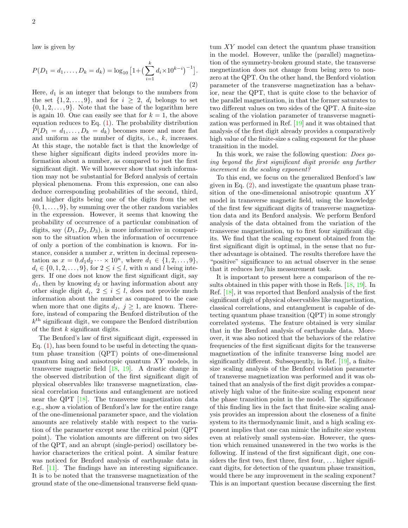law is given by

<span id="page-1-0"></span>
$$
P(D_1 = d_1, ..., D_k = d_k) = \log_{10} \left[ 1 + \left( \sum_{i=1}^k d_i \times 10^{k-i} \right)^{-1} \right].
$$
\n(2)

Here,  $d_1$  is an integer that belongs to the numbers from the set  $\{1, 2, \ldots, 9\}$ , and for  $i \geq 2$ ,  $d_i$  belongs to set  $\{0, 1, 2, \ldots, 9\}$ . Note that the base of the logarithm here is again 10. One can easily see that for  $k = 1$ , the above equation reduces to Eq.  $(1)$ . The probability distribution  $P(D_1 = d_1, \ldots, D_k = d_k)$  becomes more and more flat and uniform as the number of digits, i.e.,  $k$ , increases. At this stage, the notable fact is that the knowledge of these higher significant digits indeed provides more information about a number, as compared to just the first significant digit. We will however show that such information may not be substantial for Beford analysis of certain physical phenomena. From this expression, one can also deduce corresponding probabilities of the second, third, and higher digits being one of the digits from the set  $\{0, 1, \ldots, 9\}$ , by summing over the other random variables in the expression. However, it seems that knowing the probability of occurrence of a particular combination of digits, say  $(D_1, D_2, D_3)$ , is more informative in comparison to the situation when the information of occurrence of only a portion of the combination is known. For instance, consider a number  $x$ , written in decimal representation as  $x = 0.d_1d_2 \cdots \times 10^n$ , where  $d_1 \in \{1, 2, \ldots, 9\}$ ,  $d_i \in \{0, 1, 2, \ldots, 9\}$ , for  $2 \leq i \leq l$ , with n and l being integers. If one does not know the first significant digit, say  $d_1$ , then by knowing  $d_2$  or having information about any other single digit  $d_i$ ,  $2 \leq i \leq l$ , does not provide much information about the number as compared to the case when more that one digits  $d_j$ ,  $j \geq 1$ , are known. Therefore, instead of comparing the Benford distribution of the  $k<sup>th</sup>$  significant digit, we compare the Benford distribution of the first  $k$  significant digits.

The Benford's law of first significant digit, expressed in Eq.  $(1)$ , has been found to be useful in detecting the quantum phase transition (QPT) points of one-dimensional quantum Ising and anisotropic quantum XY models, in transverse magnetic field [\[18,](#page-6-16) [19\]](#page-6-17). A drastic change in the observed distribution of the first significant digit of physical observables like transverse magnetization, classical correlation functions and entanglement are noticed near the QPT [\[18\]](#page-6-16). The transverse magnetization data e.g., show a violation of Benford's law for the entire range of the one-dimensional parameter space, and the violation amounts are relatively stable with respect to the variation of the parameter except near the critical point (QPT point). The violation amounts are different on two sides of the QPT, and an abrupt (single-period) oscillatory behavior characterizes the critical point. A similar feature was noticed for Benford analysis of earthquake data in Ref. [\[11\]](#page-6-10). The findings have an interesting significance. It is to be noted that the transverse magnetization of the ground state of the one-dimensional transverse field quantum XY model can detect the quantum phase transition in the model. However, unlike the (parallel) magnetization of the symmetry-broken ground state, the transverse megnetization does not change from being zero to nonzero at the QPT. On the other hand, the Benford violation parameter of the transverse magnetization has a behavior, near the QPT, that is quite close to the behavior of the parallel magnetization, in that the former saturates to two different values on two sides of the QPT. A finite-size scaling of the violation parameter of transverse magnetization was performed in Ref. [\[19\]](#page-6-17) and it was obtained that analysis of the first digit already provides a comparatively high value of the finite-size s caling exponent for the phase transition in the model.

In this work, we raise the following question: Does going beyond the first significant digit provide any further increment in the scaling exponent?

To this end, we focus on the generalized Benford's law given in Eq.  $(2)$ , and investigate the quantum phase transition of the one-dimensional anisotropic quantum XY model in transverse magnetic field, using the knowledge of the first few significant digits of transverse magnetization data and its Benford analysis. We perform Benford analysis of the data obtained from the variation of the transverse magnetization, up to first four significant digits. We find that the scaling exponent obtained from the first significant digit is optimal, in the sense that no further advantage is obtained. The results therefore have the "positive" significance to an actual observer in the sense that it reduces her/his measurement task.

It is important to present here a comparison of the results obtained in this paper with those in Refs. [\[18,](#page-6-16) [19\]](#page-6-17). In Ref. [\[18\]](#page-6-16), it was reported that Benford analysis of the first significant digit of physical observables like magnetization, classical correlations, and entanglement is capable of detecting quantum phase transition (QPT) in some strongly correlated systems. The feature obtained is very similar that in the Benford analysis of earthquake data. Moreover, it was also noticed that the behaviors of the relative frequencies of the first significant digits for the transverse magnetization of the infinite transverse Ising model are significantly different. Subsequently, in Ref. [\[19\]](#page-6-17), a finitesize scaling analysis of the Benford violation parameter of transverse magnetization was performed and it was obtained that an analysis of the first digit provides a comparatively high value of the finite-size scaling exponent near the phase transition point in the model. The significance of this finding lies in the fact that finite-size scaling analysis provides an impression about the closeness of a finite system to its thermodynamic limit, and a high scaling exponent implies that one can mimic the infinite size system even at relatively small system-size. However, the question which remained unanswered in the two works is the following. If instead of the first significant digit, one considers the first two, first three, first four,  $\dots$  higher significant digits, for detection of the quantum phase transition, would there be any improvement in the scaling exponent? This is an important question because discerning the first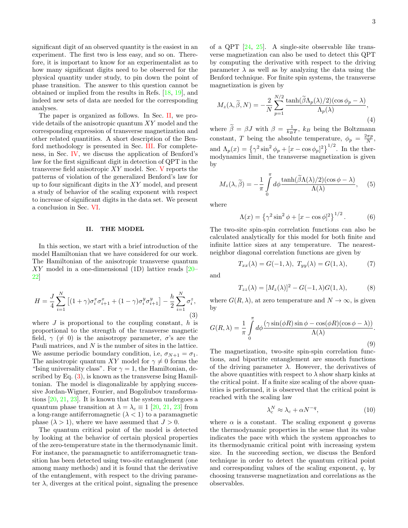significant digit of an observed quantity is the easiest in an experiment. The first two is less easy, and so on. Therefore, it is important to know for an experimentalist as to how many significant digits need to be observed for the physical quantity under study, to pin down the point of phase transition. The answer to this question cannot be obtained or implied from the results in Refs. [\[18,](#page-6-16) [19\]](#page-6-17), and indeed new sets of data are needed for the corresponding analyses.

The paper is organized as follows. In Sec. [II,](#page-2-0) we provide details of the anisotropic quantum XY model and the corresponding expression of transverse magnetization and other related quantities. A short description of the Benford methodology is presented in Sec. [III.](#page-3-0) For completeness, in Sec. [IV,](#page-3-1) we discuss the application of Benford's law for the first significant digit in detection of QPT in the transverse field anisotropic XY model. Sec. [V](#page-4-0) reports the patterns of violation of the generalized Benford's law for up to four significant digits in the XY model, and present a study of behavior of the scaling exponent with respect to increase of significant digits in the data set. We present a conclusion in Sec. [VI.](#page-5-0)

### <span id="page-2-0"></span>II. THE MODEL

In this section, we start with a brief introduction of the model Hamiltonian that we have considered for our work. The Hamiltonian of the anisotropic transverse quantum XY model in a one-dimensional (1D) lattice reads [\[20–](#page-6-18) [22\]](#page-6-19)

<span id="page-2-1"></span>
$$
H = \frac{J}{4} \sum_{i=1}^{N} \left[ (1+\gamma)\sigma_i^x \sigma_{i+1}^x + (1-\gamma)\sigma_i^y \sigma_{i+1}^y \right] - \frac{h}{2} \sum_{i=1}^{N} \sigma_i^z,
$$
\n(3)

where  $J$  is proportional to the coupling constant,  $h$  is proportional to the strength of the transverse magnetic field,  $\gamma$  ( $\neq$  0) is the anisotropy parameter,  $\sigma$ 's are the Pauli matrices, and N is the number of sites in the lattice. We assume periodic boundary condition, i.e,  $\sigma_{N+1} = \sigma_1$ . The anisotropic quantum XY model for  $\gamma \neq 0$  forms the "Ising universality class". For  $\gamma = 1$ , the Hamiltonian, described by Eq. [\(3\)](#page-2-1), is known as the transverse Ising Hamiltonian. The model is diagonalizable by applying successive Jordan-Wigner, Fourier, and Bogoliubov transformations [\[20,](#page-6-18) [21,](#page-6-20) [23\]](#page-6-21). It is known that the system undergoes a quantum phase transition at  $\lambda = \lambda_c \equiv 1$  [\[20,](#page-6-18) [21,](#page-6-20) [23\]](#page-6-21) from a long-range antiferromagnetic  $(\lambda < 1)$  to a paramagnetic phase  $(\lambda > 1)$ , where we have assumed that  $J > 0$ .

The quantum critical point of the model is detected by looking at the behavior of certain physical properties of the zero-temperature state in the thermodynamic limit. For instance, the paramagnetic to antiferromagnetic transition has been detected using two-site entanglement (one among many methods) and it is found that the derivative of the entanglement, with respect to the driving parameter  $\lambda$ , diverges at the critical point, signaling the presence of a QPT [\[24,](#page-6-22) [25\]](#page-6-23). A single-site observable like transverse magnetization can also be used to detect this QPT by computing the derivative with respect to the driving parameter  $\lambda$  as well as by analyzing the data using the Benford technique. For finite spin systems, the transverse magnetization is given by

$$
M_z(\lambda, \tilde{\beta}, N) = -\frac{2}{N} \sum_{p=1}^{N/2} \frac{\tanh(\tilde{\beta}\Lambda_p(\lambda)/2)(\cos\phi_p - \lambda)}{\Lambda_p(\lambda)},
$$
\n(4)

where  $\tilde{\beta} = \beta J$  with  $\beta = \frac{1}{k_B T}$ ,  $k_B$  being the Boltzmann constant, T being the absolute temperature,  $\phi_p = \frac{2\pi p}{N}$ , and  $\Lambda_p(x) = \left\{\gamma^2 \sin^2 \phi_p + [x - \cos \phi_p]^2\right\}^{1/2}$ . In the thermodynamics limit, the transverse magnetization is given by

<span id="page-2-2"></span>
$$
M_z(\lambda, \tilde{\beta}) = -\frac{1}{\pi} \int_0^{\pi} d\phi \frac{\tanh(\tilde{\beta}\Lambda(\lambda)/2)(\cos\phi - \lambda)}{\Lambda(\lambda)}, \quad (5)
$$

where

$$
\Lambda(x) = \left\{ \gamma^2 \sin^2 \phi + [x - \cos \phi]^2 \right\}^{1/2}.
$$
 (6)

The two-site spin-spin correlation functions can also be calculated analytically for this model for both finite and infinite lattice sizes at any temperature. The nearestneighbor diagonal correlation functions are given by

$$
T_{xx}(\lambda) = G(-1, \lambda), \ T_{yy}(\lambda) = G(1, \lambda), \tag{7}
$$

and

$$
T_{zz}(\lambda) = [M_z(\lambda)]^2 - G(-1,\lambda)G(1,\lambda),\tag{8}
$$

where  $G(R, \lambda)$ , at zero temperature and  $N \to \infty$ , is given by

$$
G(R,\lambda) = \frac{1}{\pi} \int_{0}^{\pi} d\phi \frac{(\gamma \sin(\phi R) \sin \phi - \cos(\phi R) (\cos \phi - \lambda))}{\Lambda(\lambda)}.
$$
\n(9)

The magnetization, two-site spin-spin correlation functions, and bipartite entanglement are smooth functions of the driving parameter  $\lambda$ . However, the derivatives of the above quantities with respect to  $\lambda$  show sharp kinks at the critical point. If a finite size scaling of the above quantities is performed, it is observed that the critical point is reached with the scaling law

$$
\lambda_c^N \approx \lambda_c + \alpha N^{-q},\tag{10}
$$

where  $\alpha$  is a constant. The scaling exponent q governs the thermodynamic properties in the sense that its value indicates the pace with which the system approaches to its thermodynamic critical point with increasing system size. In the succeeding section, we discuss the Benford technique in order to detect the quantum critical point and corresponding values of the scaling exponent,  $q$ , by choosing transverse magnetization and correlations as the observables.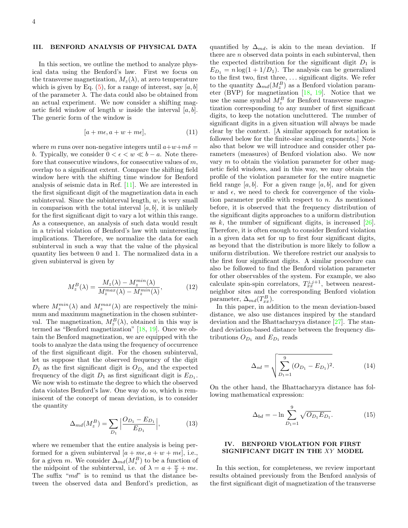#### <span id="page-3-0"></span>III. BENFORD ANALYSIS OF PHYSICAL DATA

In this section, we outline the method to analyze physical data using the Benford's law. First we focus on the transverse magnetization,  $M_z(\lambda)$ , at zero temperature which is given by Eq.  $(5)$ , for a range of interest, say [a, b] of the parameter  $\lambda$ . The data could also be obtained from an actual experiment. We now consider a shifting magnetic field window of length w inside the interval  $[a, b]$ . The generic form of the window is

$$
[a + m\epsilon, a + w + m\epsilon], \tag{11}
$$

where m runs over non-negative integers until  $a+w+m\delta =$ b. Typically, we consider  $0 < \epsilon < w \ll b - a$ . Note therefore that consecutive windows, for consecutive values of m, overlap to a significant extent. Compare the shifting field window here with the shifting time window for Benford analysis of seismic data in Ref. [\[11\]](#page-6-10). We are interested in the first significant digit of the magnetization data in each subinterval. Since the subinterval length,  $w$ , is very small in comparison with the total interval  $[a, b]$ , it is unlikely for the first significant digit to vary a lot within this range. As a consequence, an analysis of such data would result in a trivial violation of Benford's law with uninteresting implications. Therefore, we normalize the data for each subinterval in such a way that the value of the physical quantity lies between 0 and 1. The normalized data in a given subinterval is given by

$$
M_z^B(\lambda) = \frac{M_z(\lambda) - M_z^{\min}(\lambda)}{M_z^{\max}(\lambda) - M_z^{\min}(\lambda)},
$$
\n(12)

where  $M_z^{min}(\lambda)$  and  $M_z^{max}(\lambda)$  are respectively the minimum and maximum magnetization in the chosen subinterval. The magnetization,  $M_z^B(\lambda)$ , obtained in this way is termed as "Benford magnetization" [\[18,](#page-6-16) [19\]](#page-6-17). Once we obtain the Benford magnetization, we are equipped with the tools to analyze the data using the frequency of occurrence of the first significant digit. For the chosen subinterval, let us suppose that the observed frequency of the digit  $D_1$  as the first significant digit is  $O_{D_1}$  and the expected frequency of the digit  $D_1$  as first significant digit is  $E_{D_1}$ . We now wish to estimate the degree to which the observed data violates Benford's law. One way do so, which is reminiscent of the concept of mean deviation, is to consider the quantity

$$
\Delta_{md}(M_z^B) = \sum_{D_1} \left| \frac{O_{D_1} - E_{D_1}}{E_{D_1}} \right|, \tag{13}
$$

where we remember that the entire analysis is being performed for a given subinterval  $[a + m\epsilon, a + w + m\epsilon]$ , i.e., for a given m. We consider  $\Delta_{md}(M_z^B)$  to be a function of the midpoint of the subinterval, i.e. of  $\lambda = a + \frac{w}{2} + m\epsilon$ . The suffix "md" is to remind us that the distance between the observed data and Benford's prediction, as quantified by  $\Delta_{md}$ , is akin to the mean deviation. If there are  $n$  observed data points in each subinterval, then the expected distribution for the significant digit  $D_1$  is  $E_{D_1} = n \log(1 + 1/D_1)$ . The analysis can be generalized to the first two, first three, . . . significant digits. We refer to the quantity  $\Delta_{md}(M_z^B)$  as a Benford violation parameter (BVP) for magnetization [\[18,](#page-6-16) [19\]](#page-6-17). Notice that we use the same symbol  $M_z^B$  for Benford transverse magnetization corresponding to any number of first significant digits, to keep the notation uncluttered. The number of significant digits in a given situation will always be made clear by the context. [A similar approach for notation is followed below for the finite-size scaling exponents.] Note also that below we will introduce and consider other parameters (measures) of Benford violation also. We now vary  $m$  to obtain the violation parameter for other magnetic field windows, and in this way, we may obtain the profile of the violation parameter for the entire magnetic field range [a, b]. For a given range [a, b], and for given w and  $\epsilon$ , we need to check for convergence of the violation parameter profile with respect to  $n$ . As mentioned before, it is observed that the frequency distribution of the significant digits approaches to a uniform distribution as  $k$ , the number of significant digits, is increased  $[26]$ . Therefore, it is often enough to consider Benford violation in a given data set for up to first four significant digits, as beyond that the distribution is more likely to follow a uniform distribution. We therefore restrict our analysis to the first four significant digits. A similar procedure can also be followed to find the Benford violation parameter for other observables of the system. For example, we also calculate spin-spin correlators,  $T_{xx}^{j,j+1}$ , between nearestneighbor sites and the corresponding Benford violation parameter,  $\Delta_{md}(T_{xx}^B)$ .

In this paper, in addition to the mean deviation-based distance, we also use distances inspired by the standard deviation and the Bhattacharyya distance [\[27\]](#page-6-25). The standard deviation-based distance between the frequency distributions  $O_{D_1}$  and  $E_{D_1}$  reads

<span id="page-3-2"></span>
$$
\Delta_{sd} = \sqrt{\sum_{D_1=1}^{9} (O_{D_1} - E_{D_1})^2}.
$$
 (14)

On the other hand, the Bhattacharyya distance has following mathematical expression:

<span id="page-3-3"></span>
$$
\Delta_{bd} = -\ln \sum_{D_1=1}^{9} \sqrt{O_{D_1} E_{D_1}}.
$$
 (15)

# <span id="page-3-1"></span>IV. BENFORD VIOLATION FOR FIRST SIGNIFICANT DIGIT IN THE XY MODEL

In this section, for completeness, we review important results obtained previously from the Benford analysis of the first significant digit of magnetization of the transverse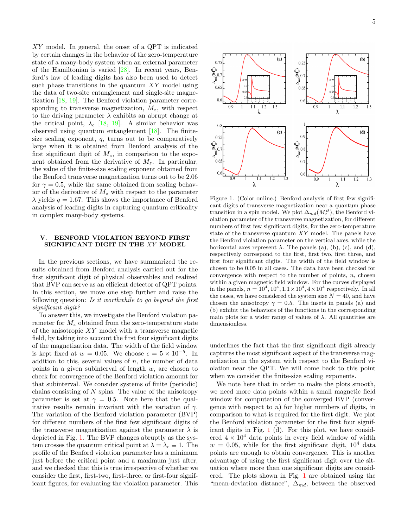XY model. In general, the onset of a QPT is indicated by certain changes in the behavior of the zero-temperature state of a many-body system when an external parameter of the Hamiltonian is varied [\[28\]](#page-6-26). In recent years, Benford's law of leading digits has also been used to detect such phase transitions in the quantum  $XY$  model using the data of two-site entanglement and single-site magnetization [\[18,](#page-6-16) [19\]](#page-6-17). The Benford violation parameter corresponding to transverse magnetization,  $M_z$ , with respect to the driving parameter  $\lambda$  exhibits an abrupt change at the critical point,  $\lambda_c$  [\[18,](#page-6-16) [19\]](#page-6-17). A similar behavior was observed using quantum entanglement [\[18\]](#page-6-16). The finitesize scaling exponent,  $q$ , turns out to be comparatively large when it is obtained from Benford analysis of the first significant digit of  $M_z$ , in comparison to the exponent obtained from the derivative of  $M_z$ . In particular, the value of the finite-size scaling exponent obtained from the Benford transverse magnetization turns out to be 2.06 for  $\gamma = 0.5$ , while the same obtained from scaling behavior of the derivative of  $M_z$  with respect to the parameter  $\lambda$  yields  $q = 1.67$ . This shows the importance of Benford analysis of leading digits in capturing quantum criticality in complex many-body systems.

# <span id="page-4-0"></span>V. BENFORD VIOLATION BEYOND FIRST SIGNIFICANT DIGIT IN THE XY MODEL

In the previous sections, we have summarized the results obtained from Benford analysis carried out for the first significant digit of physical observables and realized that BVP can serve as an efficient detector of QPT points. In this section, we move one step further and raise the following question: Is it worthwhile to go beyond the first significant digit?

To answer this, we investigate the Benford violation parameter for  $M_z$  obtained from the zero-temperature state of the anisotropic XY model with a transverse magnetic field, by taking into account the first four significant digits of the magnetization data. The width of the field window is kept fixed at  $w = 0.05$ . We choose  $\epsilon = 5 \times 10^{-5}$ . In addition to this, several values of  $n$ , the number of data points in a given subinterval of length  $w$ , are chosen to check for convergence of the Benford violation amount for that subinterval. We consider systems of finite (periodic) chains consisting of  $N$  spins. The value of the anisotropy parameter is set at  $\gamma = 0.5$ . Note here that the qualitative results remain invariant with the variation of  $\gamma$ . The variation of the Benford violation parameter (BVP) for different numbers of the first few significant digits of the transverse magnetization against the parameter  $\lambda$  is depicted in Fig. [1.](#page-4-1) The BVP changes abruptly as the system crosses the quantum critical point at  $\lambda = \lambda_c \equiv 1$ . The profile of the Benford violation parameter has a minimum just before the critical point and a maximum just after, and we checked that this is true irrespective of whether we consider the first, first-two, first-three, or first-four significant figures, for evaluating the violation parameter. This



<span id="page-4-1"></span>Figure 1. (Color online.) Benford analysis of first few significant digits of transverse magnetization near a quantum phase transition in a spin model. We plot  $\Delta_{md}(M_z^B)$ , the Benford violation parameter of the transverse magnetization, for different numbers of first few significant digits, for the zero-temperature state of the transverse quantum XY model. The panels have the Benford violation parameter on the vertical axes, while the horizontal axes represent  $\lambda$ . The panels (a), (b), (c), and (d), respectively correspond to the first, first two, first three, and first four significant digits. The width of the field window is chosen to be 0.05 in all cases. The data have been checked for convergence with respect to the number of points,  $n$ , chosen within a given magnetic field window. For the curves displayed in the panels,  $n = 10^4, 10^4, 1.1 \times 10^4, 4 \times 10^4$  respectively. In all the cases, we have considered the system size  $N = 40$ , and have chosen the anisotropy  $\gamma = 0.5$ . The insets in panels (a) and (b) exhibit the behaviors of the functions in the corresponding main plots for a wider range of values of  $\lambda$ . All quantities are dimensionless.

underlines the fact that the first significant digit already captures the most significant aspect of the transverse magnetization in the system with respect to the Benford violation near the QPT. We will come back to this point when we consider the finite-size scaling exponents.

We note here that in order to make the plots smooth, we need more data points within a small magnetic field window for computation of the converged BVP (convergence with respect to  $n$ ) for higher numbers of digits, in comparison to what is required for the first digit. We plot the Benford violation parameter for the first four significant digits in Fig. [1](#page-4-1) (d). For this plot, we have considered  $4 \times 10^4$  data points in every field window of width  $w = 0.05$ , while for the first significant digit,  $10<sup>4</sup>$  data points are enough to obtain convergence. This is another advantage of using the first significant digit over the situation where more than one significant digits are considered. The plots shown in Fig. [1](#page-4-1) are obtained using the "mean-deviation distance",  $\Delta_{md}$ , between the observed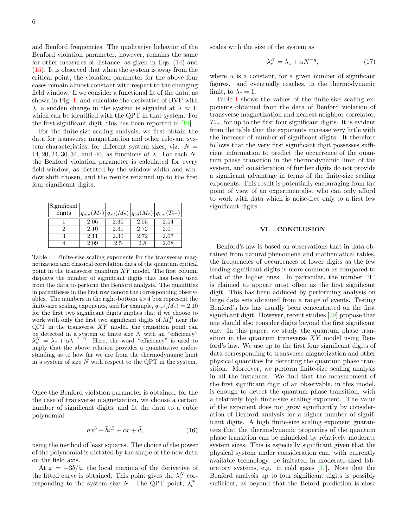and Benford frequencies. The qualitative behavior of the Benford violation parameter, however, remains the same for other measures of distance, as given in Eqs. [\(14\)](#page-3-2) and [\(15\)](#page-3-3). It is observed that when the system is away from the critical point, the violation parameter for the above four cases remain almost constant with respect to the changing field window. If we consider a functional fit of the data, as shown in Fig. [1,](#page-4-1) and calculate the derivative of BVP with  $\lambda$ , a sudden change in the system is signaled at  $\lambda \approx 1$ , which can be identified with the QPT in that system. For the first significant digit, this has been reported in [\[19\]](#page-6-17).

For the finite-size scaling analysis, we first obtain the data for transverse magnetization and other relevant system characteristics, for different system sizes, viz.  $N =$  $14, 20, 24, 30, 34,$  and 40, as functions of  $\lambda$ . For each N, the Benford violation parameter is calculated for every field window, as dictated by the window width and window shift chosen, and the results retained up to the first four significant digits.

| Significant |      |      |      |                                                        |
|-------------|------|------|------|--------------------------------------------------------|
| digits      |      |      |      | $ q_{md}(M_z) q_{sd}(M_z) q_{bd}(M_z) q_{md}(T_{xx}) $ |
|             | 2.06 | 2.30 | 2.55 | 2.04                                                   |
| 2           | 2.10 | 2.31 | 2.72 | 2.07                                                   |
| 3           | 2.11 | 2.30 | 2.72 | 2.07                                                   |
|             | 2.09 | 2.5  | 2.8  | 2.08                                                   |

<span id="page-5-1"></span>Table I. Finite-size scaling exponents for the transverse magnetization and classical correlation data of the quantum critical point in the transverse quantum XY model. The first column displays the number of significant digits that has been used from the data to perform the Benford analysis. The quantities in parentheses in the first row denote the corresponding observables. The numbers in the right-bottom  $4 \times 4$  box represent the finite-size scaling exponents, and for example,  $q_{md}(M_z) = 2.10$ for the first two significant digits implies that if we choose to work with only the first two significant digits of  $M_z^B$  near the  $QPT$  in the transverse  $XY$  model, the transition point can be detected in a system of finite size  $N$  with an "efficiency"  $\lambda_c^N = \lambda_c + \alpha \lambda^{-2.10}$ . Here, the word "efficiency" is used to imply that the above relation provides a quantitative understanding as to how far we are from the thermodynamic limit in a system of size  $N$  with respect to the QPT in the system.

Once the Benford violation parameter is obtained, for the the case of transverse magnetzation, we choose a certain number of significant digits, and fit the data to a cubic polynomial

$$
\tilde{a}x^3 + \tilde{b}x^2 + \tilde{c}x + \tilde{d},\tag{16}
$$

using the method of least squares. The choice of the power of the polynomial is dictated by the shape of the new data on the field axis.

At  $x = -3\tilde{b}/\tilde{a}$ , the local maxima of the derivative of the fitted curve is obtained. This point gives the  $\lambda_c^N$  corresponding to the system size N. The QPT point,  $\lambda_c^N$ , scales with the size of the system as

$$
\lambda_c^N = \lambda_c + \alpha N^{-q},\tag{17}
$$

where  $\alpha$  is a constant, for a given number of significant figures. and eventually reaches, in the thermodynamic limit, to  $\lambda_c = 1$ .

Table [I](#page-5-1) shows the values of the finite-size scaling exponents obtained from the data of Benford violation of transverse magnetization and nearest neighbor correlator,  $T_{xx}$ , for up to the first four significant digits. It is evident from the table that the exponents increase very little with the increase of number of significant digits. It therefore follows that the very first significant digit possesses sufficient information to predict the occurrence of the quantum phase transition in the thermodynamic limit of the system, and consideration of further digits do not provide a significant advantage in terms of the finite-size scaling exponents. This result is potentially encouraging from the point of view of an experimentalist who can only afford to work with data which is noise-free only to a first few significant digits.

## <span id="page-5-0"></span>VI. CONCLUSION

Benford's law is based on observations that in data obtained from natural phenomena and mathematical tables, the frequencies of occurrences of lower digits as the few leading significant digits is more common as compared to that of the higher ones. In particular, the number "1" is claimed to appear most often as the first significant digit. This has been adduced by performing analysis on large data sets obtained from a range of events. Testing Benford's law has usually been concentrated on the first significant digit. However, recent studies [\[29\]](#page-6-27) propose that one should also consider digits beyond the first significant one. In this paper, we study the quantum phase transition in the quantum transverse XY model using Benford's law. We use up to the first four significant digits of data corresponding to transverse magnetization and other physical quantities for detecting the quantum phase transition. Moreover, we perform finite-size scaling analysis in all the instances. We find that the measurement of the first significant digit of an observable, in this model, is enough to detect the quantum phase transition, with a relatively high finite-size scaling exponent. The value of the exponent does not grow significantly by consideration of Benford analysis for a higher number of significant digits. A high finite-size scaling exponent guarantees that the thermodynamic properties of the quantum phase transition can be mimicked by relatively moderate system sizes. This is especially significant given that the physical system under consideration can, with currently available technology, be imitated in moderate-sized laboratory systems, e.g. in cold gases [\[30\]](#page-6-28). Note that the Benford analysis up to four significant digits is possibly sufficient, as beyond that the Beford prediction is close